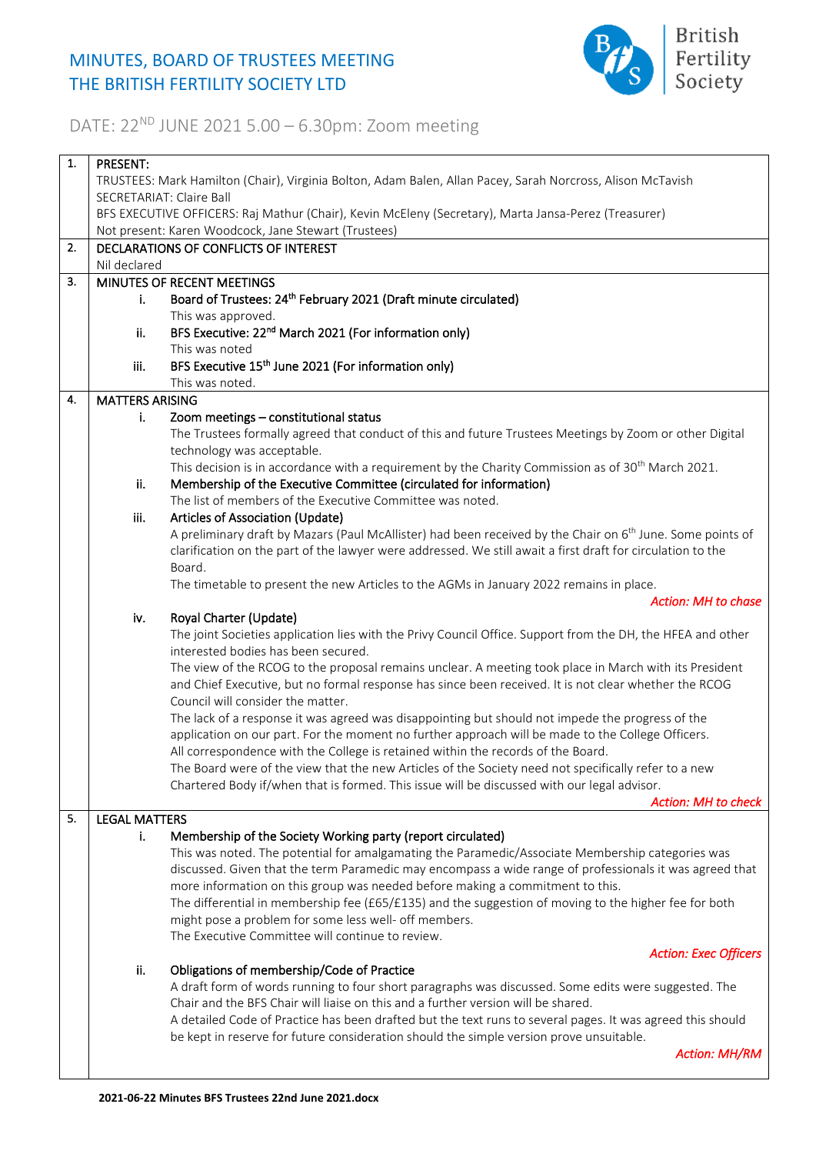## MINUTES, BOARD OF TRUSTEES MEETING THE BRITISH FERTILITY SOCIETY LTD



## DATE: 22ND JUNE 2021 5.00 – 6.30pm: Zoom meeting

| 1. | PRESENT:                                                                                                   |                                                                                                                                                                                                                 |  |  |
|----|------------------------------------------------------------------------------------------------------------|-----------------------------------------------------------------------------------------------------------------------------------------------------------------------------------------------------------------|--|--|
|    | TRUSTEES: Mark Hamilton (Chair), Virginia Bolton, Adam Balen, Allan Pacey, Sarah Norcross, Alison McTavish |                                                                                                                                                                                                                 |  |  |
|    | SECRETARIAT: Claire Ball                                                                                   |                                                                                                                                                                                                                 |  |  |
|    |                                                                                                            | BFS EXECUTIVE OFFICERS: Raj Mathur (Chair), Kevin McEleny (Secretary), Marta Jansa-Perez (Treasurer)                                                                                                            |  |  |
|    |                                                                                                            | Not present: Karen Woodcock, Jane Stewart (Trustees)                                                                                                                                                            |  |  |
| 2. |                                                                                                            | DECLARATIONS OF CONFLICTS OF INTEREST                                                                                                                                                                           |  |  |
|    | Nil declared                                                                                               |                                                                                                                                                                                                                 |  |  |
| 3. | MINUTES OF RECENT MEETINGS                                                                                 |                                                                                                                                                                                                                 |  |  |
|    | i.                                                                                                         | Board of Trustees: 24 <sup>th</sup> February 2021 (Draft minute circulated)                                                                                                                                     |  |  |
|    |                                                                                                            | This was approved.                                                                                                                                                                                              |  |  |
|    | ii.                                                                                                        | BFS Executive: 22 <sup>nd</sup> March 2021 (For information only)                                                                                                                                               |  |  |
|    |                                                                                                            | This was noted                                                                                                                                                                                                  |  |  |
|    | iii.                                                                                                       | BFS Executive 15 <sup>th</sup> June 2021 (For information only)                                                                                                                                                 |  |  |
|    |                                                                                                            | This was noted.                                                                                                                                                                                                 |  |  |
| 4. | <b>MATTERS ARISING</b>                                                                                     |                                                                                                                                                                                                                 |  |  |
|    | i.                                                                                                         | Zoom meetings - constitutional status                                                                                                                                                                           |  |  |
|    |                                                                                                            | The Trustees formally agreed that conduct of this and future Trustees Meetings by Zoom or other Digital                                                                                                         |  |  |
|    |                                                                                                            | technology was acceptable.                                                                                                                                                                                      |  |  |
|    |                                                                                                            | This decision is in accordance with a requirement by the Charity Commission as of 30 <sup>th</sup> March 2021.                                                                                                  |  |  |
|    | ii.                                                                                                        | Membership of the Executive Committee (circulated for information)                                                                                                                                              |  |  |
|    |                                                                                                            | The list of members of the Executive Committee was noted.                                                                                                                                                       |  |  |
|    | iii.                                                                                                       | Articles of Association (Update)                                                                                                                                                                                |  |  |
|    |                                                                                                            | A preliminary draft by Mazars (Paul McAllister) had been received by the Chair on 6 <sup>th</sup> June. Some points of                                                                                          |  |  |
|    |                                                                                                            | clarification on the part of the lawyer were addressed. We still await a first draft for circulation to the                                                                                                     |  |  |
|    |                                                                                                            | Board.                                                                                                                                                                                                          |  |  |
|    |                                                                                                            | The timetable to present the new Articles to the AGMs in January 2022 remains in place.                                                                                                                         |  |  |
|    |                                                                                                            | <b>Action: MH to chase</b>                                                                                                                                                                                      |  |  |
|    | iv.                                                                                                        | Royal Charter (Update)                                                                                                                                                                                          |  |  |
|    |                                                                                                            | The joint Societies application lies with the Privy Council Office. Support from the DH, the HFEA and other                                                                                                     |  |  |
|    |                                                                                                            | interested bodies has been secured.                                                                                                                                                                             |  |  |
|    |                                                                                                            | The view of the RCOG to the proposal remains unclear. A meeting took place in March with its President<br>and Chief Executive, but no formal response has since been received. It is not clear whether the RCOG |  |  |
|    |                                                                                                            | Council will consider the matter.                                                                                                                                                                               |  |  |
|    |                                                                                                            | The lack of a response it was agreed was disappointing but should not impede the progress of the                                                                                                                |  |  |
|    |                                                                                                            | application on our part. For the moment no further approach will be made to the College Officers.                                                                                                               |  |  |
|    |                                                                                                            | All correspondence with the College is retained within the records of the Board.                                                                                                                                |  |  |
|    |                                                                                                            | The Board were of the view that the new Articles of the Society need not specifically refer to a new                                                                                                            |  |  |
|    |                                                                                                            | Chartered Body if/when that is formed. This issue will be discussed with our legal advisor.                                                                                                                     |  |  |
|    |                                                                                                            | <b>Action: MH to check</b>                                                                                                                                                                                      |  |  |
| 5. | <b>LEGAL MATTERS</b>                                                                                       |                                                                                                                                                                                                                 |  |  |
|    | i.                                                                                                         | Membership of the Society Working party (report circulated)                                                                                                                                                     |  |  |
|    |                                                                                                            | This was noted. The potential for amalgamating the Paramedic/Associate Membership categories was                                                                                                                |  |  |
|    |                                                                                                            | discussed. Given that the term Paramedic may encompass a wide range of professionals it was agreed that                                                                                                         |  |  |
|    |                                                                                                            | more information on this group was needed before making a commitment to this.                                                                                                                                   |  |  |
|    |                                                                                                            | The differential in membership fee (£65/£135) and the suggestion of moving to the higher fee for both                                                                                                           |  |  |
|    |                                                                                                            | might pose a problem for some less well- off members.                                                                                                                                                           |  |  |
|    |                                                                                                            | The Executive Committee will continue to review.                                                                                                                                                                |  |  |
|    |                                                                                                            | <b>Action: Exec Officers</b>                                                                                                                                                                                    |  |  |
|    | ii.                                                                                                        | Obligations of membership/Code of Practice                                                                                                                                                                      |  |  |
|    |                                                                                                            | A draft form of words running to four short paragraphs was discussed. Some edits were suggested. The                                                                                                            |  |  |
|    |                                                                                                            | Chair and the BFS Chair will liaise on this and a further version will be shared.                                                                                                                               |  |  |
|    |                                                                                                            | A detailed Code of Practice has been drafted but the text runs to several pages. It was agreed this should                                                                                                      |  |  |
|    |                                                                                                            | be kept in reserve for future consideration should the simple version prove unsuitable.                                                                                                                         |  |  |
|    |                                                                                                            | <b>Action: MH/RM</b>                                                                                                                                                                                            |  |  |
|    |                                                                                                            |                                                                                                                                                                                                                 |  |  |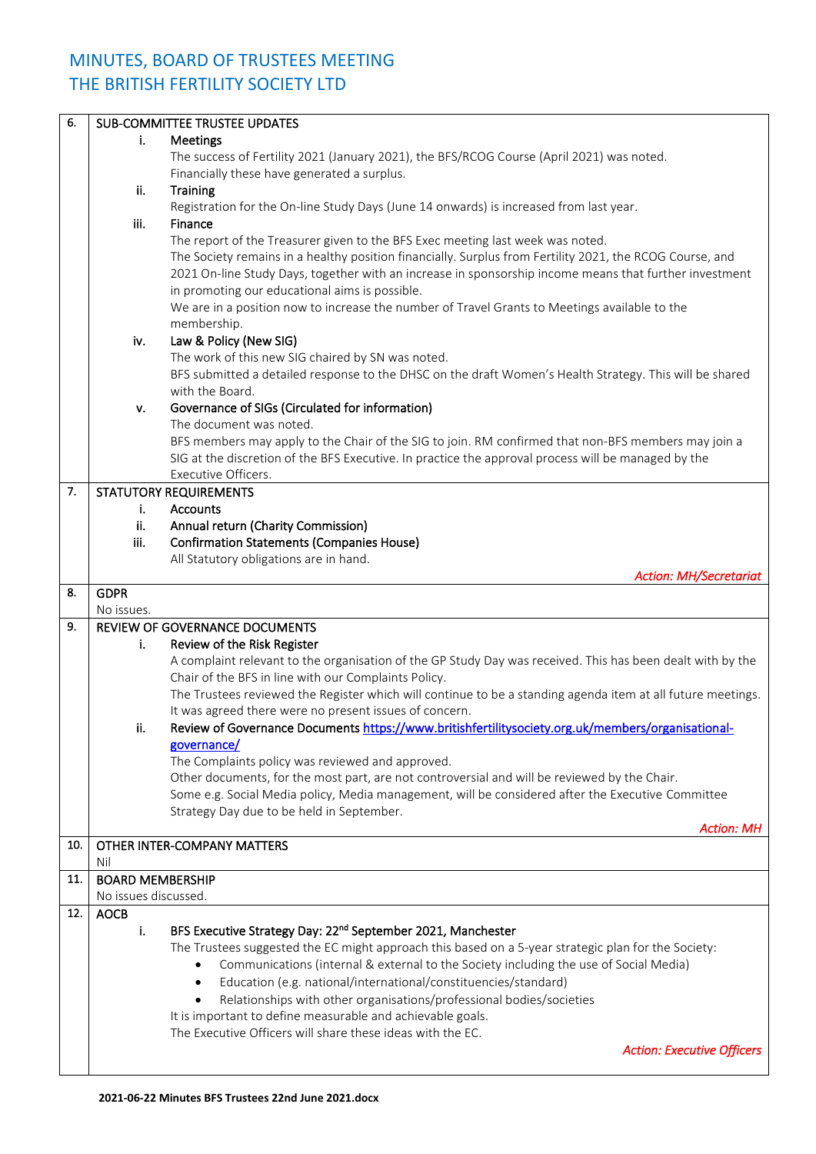## MINUTES, BOARD OF TRUSTEES MEETING THE BRITISH FERTILITY SOCIETY LTD

| 6.  | SUB-COMMITTEE TRUSTEE UPDATES |                                                                                                                            |  |
|-----|-------------------------------|----------------------------------------------------------------------------------------------------------------------------|--|
|     | i.                            | Meetings                                                                                                                   |  |
|     |                               | The success of Fertility 2021 (January 2021), the BFS/RCOG Course (April 2021) was noted.                                  |  |
|     |                               | Financially these have generated a surplus.                                                                                |  |
|     | ii.                           | Training                                                                                                                   |  |
|     |                               | Registration for the On-line Study Days (June 14 onwards) is increased from last year.                                     |  |
|     | iii.                          | Finance                                                                                                                    |  |
|     |                               | The report of the Treasurer given to the BFS Exec meeting last week was noted.                                             |  |
|     |                               | The Society remains in a healthy position financially. Surplus from Fertility 2021, the RCOG Course, and                   |  |
|     |                               | 2021 On-line Study Days, together with an increase in sponsorship income means that further investment                     |  |
|     |                               | in promoting our educational aims is possible.                                                                             |  |
|     |                               | We are in a position now to increase the number of Travel Grants to Meetings available to the                              |  |
|     |                               | membership.                                                                                                                |  |
|     | iv.                           | Law & Policy (New SIG)                                                                                                     |  |
|     |                               | The work of this new SIG chaired by SN was noted.                                                                          |  |
|     |                               | BFS submitted a detailed response to the DHSC on the draft Women's Health Strategy. This will be shared                    |  |
|     |                               | with the Board.                                                                                                            |  |
|     | ٧.                            | Governance of SIGs (Circulated for information)                                                                            |  |
|     |                               | The document was noted.                                                                                                    |  |
|     |                               | BFS members may apply to the Chair of the SIG to join. RM confirmed that non-BFS members may join a                        |  |
|     |                               | SIG at the discretion of the BFS Executive. In practice the approval process will be managed by the<br>Executive Officers. |  |
| 7.  |                               | STATUTORY REQUIREMENTS                                                                                                     |  |
|     | i.                            | Accounts                                                                                                                   |  |
|     | ii.                           | Annual return (Charity Commission)                                                                                         |  |
|     | iii.                          | <b>Confirmation Statements (Companies House)</b>                                                                           |  |
|     |                               | All Statutory obligations are in hand.                                                                                     |  |
|     |                               | <b>Action: MH/Secretariat</b>                                                                                              |  |
| 8.  | <b>GDPR</b>                   |                                                                                                                            |  |
|     | No issues.                    |                                                                                                                            |  |
| 9.  |                               | REVIEW OF GOVERNANCE DOCUMENTS                                                                                             |  |
|     | i.                            | Review of the Risk Register                                                                                                |  |
|     |                               | A complaint relevant to the organisation of the GP Study Day was received. This has been dealt with by the                 |  |
|     |                               | Chair of the BFS in line with our Complaints Policy.                                                                       |  |
|     |                               | The Trustees reviewed the Register which will continue to be a standing agenda item at all future meetings.                |  |
|     |                               | It was agreed there were no present issues of concern.                                                                     |  |
|     | ii.                           | Review of Governance Documents https://www.britishfertilitysociety.org.uk/members/organisational-                          |  |
|     |                               | governance/                                                                                                                |  |
|     |                               | The Complaints policy was reviewed and approved.                                                                           |  |
|     |                               | Other documents, for the most part, are not controversial and will be reviewed by the Chair.                               |  |
|     |                               | Some e.g. Social Media policy, Media management, will be considered after the Executive Committee                          |  |
|     |                               | Strategy Day due to be held in September.                                                                                  |  |
|     |                               | <b>Action: MH</b>                                                                                                          |  |
| 10. | Nil                           | OTHER INTER-COMPANY MATTERS                                                                                                |  |
| 11. | <b>BOARD MEMBERSHIP</b>       |                                                                                                                            |  |
|     | No issues discussed.          |                                                                                                                            |  |
| 12. | <b>AOCB</b>                   |                                                                                                                            |  |
|     | i.                            | BFS Executive Strategy Day: 22 <sup>nd</sup> September 2021, Manchester                                                    |  |
|     |                               | The Trustees suggested the EC might approach this based on a 5-year strategic plan for the Society:                        |  |
|     |                               | Communications (internal & external to the Society including the use of Social Media)                                      |  |
|     |                               | Education (e.g. national/international/constituencies/standard)<br>$\bullet$                                               |  |
|     |                               | Relationships with other organisations/professional bodies/societies                                                       |  |
|     |                               | It is important to define measurable and achievable goals.                                                                 |  |
|     |                               | The Executive Officers will share these ideas with the EC.                                                                 |  |
|     |                               | <b>Action: Executive Officers</b>                                                                                          |  |
|     |                               |                                                                                                                            |  |